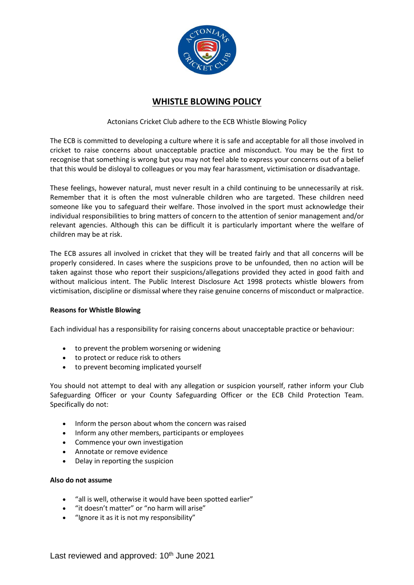

# **WHISTLE BLOWING POLICY**

# Actonians Cricket Club adhere to the ECB Whistle Blowing Policy

The ECB is committed to developing a culture where it is safe and acceptable for all those involved in cricket to raise concerns about unacceptable practice and misconduct. You may be the first to recognise that something is wrong but you may not feel able to express your concerns out of a belief that this would be disloyal to colleagues or you may fear harassment, victimisation or disadvantage.

These feelings, however natural, must never result in a child continuing to be unnecessarily at risk. Remember that it is often the most vulnerable children who are targeted. These children need someone like you to safeguard their welfare. Those involved in the sport must acknowledge their individual responsibilities to bring matters of concern to the attention of senior management and/or relevant agencies. Although this can be difficult it is particularly important where the welfare of children may be at risk.

The ECB assures all involved in cricket that they will be treated fairly and that all concerns will be properly considered. In cases where the suspicions prove to be unfounded, then no action will be taken against those who report their suspicions/allegations provided they acted in good faith and without malicious intent. The Public Interest Disclosure Act 1998 protects whistle blowers from victimisation, discipline or dismissal where they raise genuine concerns of misconduct or malpractice.

#### **Reasons for Whistle Blowing**

Each individual has a responsibility for raising concerns about unacceptable practice or behaviour:

- to prevent the problem worsening or widening
- to protect or reduce risk to others
- to prevent becoming implicated yourself

You should not attempt to deal with any allegation or suspicion yourself, rather inform your Club Safeguarding Officer or your County Safeguarding Officer or the ECB Child Protection Team. Specifically do not:

- Inform the person about whom the concern was raised
- Inform any other members, participants or employees
- Commence your own investigation
- Annotate or remove evidence
- Delay in reporting the suspicion

#### **Also do not assume**

- "all is well, otherwise it would have been spotted earlier"
- "it doesn't matter" or "no harm will arise"
- "Ignore it as it is not my responsibility"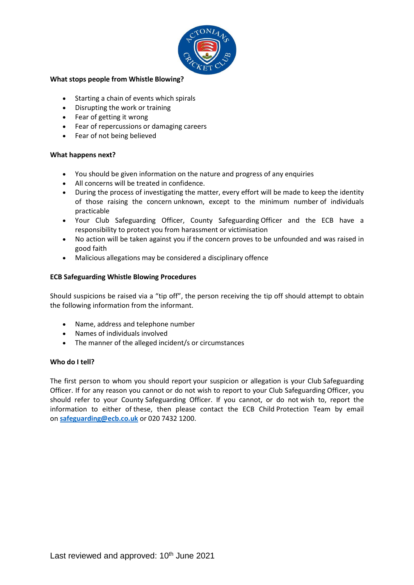

### **What stops people from Whistle Blowing?**

- Starting a chain of events which spirals
- Disrupting the work or training
- Fear of getting it wrong
- Fear of repercussions or damaging careers
- Fear of not being believed

# **What happens next?**

- You should be given information on the nature and progress of any enquiries
- All concerns will be treated in confidence.
- During the process of investigating the matter, every effort will be made to keep the identity of those raising the concern unknown, except to the minimum number of individuals practicable
- Your Club Safeguarding Officer, County Safeguarding Officer and the ECB have a responsibility to protect you from harassment or victimisation
- No action will be taken against you if the concern proves to be unfounded and was raised in good faith
- Malicious allegations may be considered a disciplinary offence

## **ECB Safeguarding Whistle Blowing Procedures**

Should suspicions be raised via a "tip off", the person receiving the tip off should attempt to obtain the following information from the informant.

- Name, address and telephone number
- Names of individuals involved
- The manner of the alleged incident/s or circumstances

# **Who do I tell?**

The first person to whom you should report your suspicion or allegation is your Club Safeguarding Officer. If for any reason you cannot or do not wish to report to your Club Safeguarding Officer, you should refer to your County Safeguarding Officer. If you cannot, or do not wish to, report the information to either of these, then please contact the ECB Child Protection Team by email on **[safeguarding@ecb.co.uk](mailto:safeguarding@ecb.co.uk)** or 020 7432 1200.